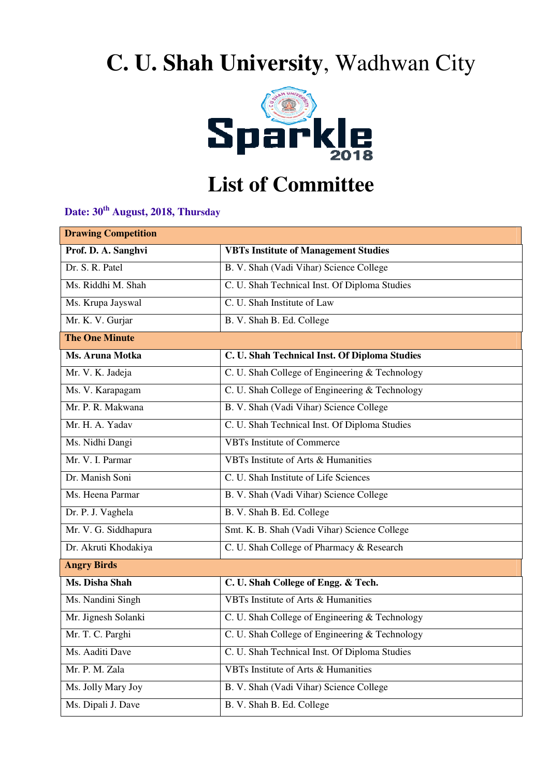## **C. U. Shah University**, Wadhwan City



## **List of Committee**

**Date: 30th August, 2018, Thursday**

| <b>Drawing Competition</b> |                                                |  |
|----------------------------|------------------------------------------------|--|
| Prof. D. A. Sanghvi        | <b>VBTs Institute of Management Studies</b>    |  |
| Dr. S. R. Patel            | B. V. Shah (Vadi Vihar) Science College        |  |
| Ms. Riddhi M. Shah         | C. U. Shah Technical Inst. Of Diploma Studies  |  |
| Ms. Krupa Jayswal          | C. U. Shah Institute of Law                    |  |
| Mr. K. V. Gurjar           | B. V. Shah B. Ed. College                      |  |
| <b>The One Minute</b>      |                                                |  |
| Ms. Aruna Motka            | C. U. Shah Technical Inst. Of Diploma Studies  |  |
| Mr. V. K. Jadeja           | C. U. Shah College of Engineering & Technology |  |
| Ms. V. Karapagam           | C. U. Shah College of Engineering & Technology |  |
| Mr. P. R. Makwana          | B. V. Shah (Vadi Vihar) Science College        |  |
| Mr. H. A. Yadav            | C. U. Shah Technical Inst. Of Diploma Studies  |  |
| Ms. Nidhi Dangi            | <b>VBTs Institute of Commerce</b>              |  |
| Mr. V. I. Parmar           | <b>VBTs Institute of Arts &amp; Humanities</b> |  |
| Dr. Manish Soni            | C. U. Shah Institute of Life Sciences          |  |
| Ms. Heena Parmar           | B. V. Shah (Vadi Vihar) Science College        |  |
| Dr. P. J. Vaghela          | B. V. Shah B. Ed. College                      |  |
| Mr. V. G. Siddhapura       | Smt. K. B. Shah (Vadi Vihar) Science College   |  |
| Dr. Akruti Khodakiya       | C. U. Shah College of Pharmacy & Research      |  |
| <b>Angry Birds</b>         |                                                |  |
| Ms. Disha Shah             | C. U. Shah College of Engg. & Tech.            |  |
| Ms. Nandini Singh          | VBTs Institute of Arts & Humanities            |  |
| Mr. Jignesh Solanki        | C. U. Shah College of Engineering & Technology |  |
| Mr. T. C. Parghi           | C. U. Shah College of Engineering & Technology |  |
| Ms. Aaditi Dave            | C. U. Shah Technical Inst. Of Diploma Studies  |  |
| Mr. P. M. Zala             | VBTs Institute of Arts & Humanities            |  |
| Ms. Jolly Mary Joy         | B. V. Shah (Vadi Vihar) Science College        |  |
| Ms. Dipali J. Dave         | B. V. Shah B. Ed. College                      |  |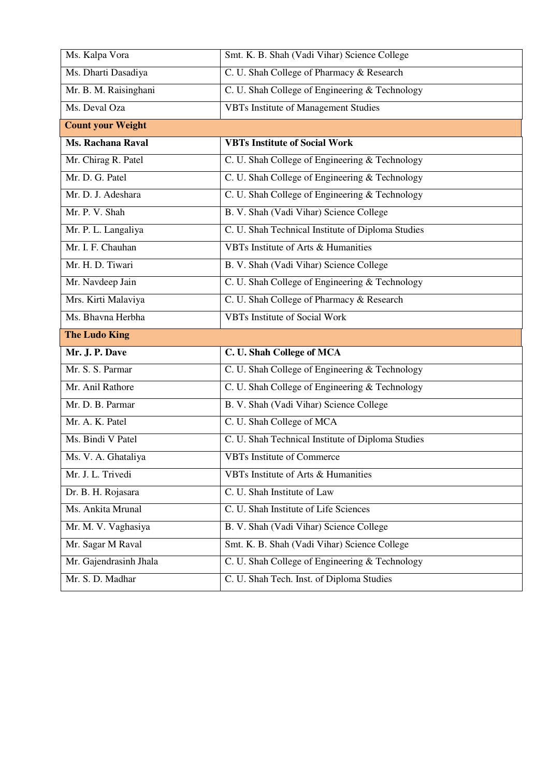| Ms. Kalpa Vora           | Smt. K. B. Shah (Vadi Vihar) Science College      |  |
|--------------------------|---------------------------------------------------|--|
| Ms. Dharti Dasadiya      | C. U. Shah College of Pharmacy & Research         |  |
| Mr. B. M. Raisinghani    | C. U. Shah College of Engineering & Technology    |  |
| Ms. Deval Oza            | <b>VBTs Institute of Management Studies</b>       |  |
| <b>Count your Weight</b> |                                                   |  |
| <b>Ms. Rachana Raval</b> | <b>VBTs Institute of Social Work</b>              |  |
| Mr. Chirag R. Patel      | C. U. Shah College of Engineering & Technology    |  |
| Mr. D. G. Patel          | C. U. Shah College of Engineering & Technology    |  |
| Mr. D. J. Adeshara       | C. U. Shah College of Engineering & Technology    |  |
| Mr. P. V. Shah           | B. V. Shah (Vadi Vihar) Science College           |  |
| Mr. P. L. Langaliya      | C. U. Shah Technical Institute of Diploma Studies |  |
| Mr. I. F. Chauhan        | VBTs Institute of Arts & Humanities               |  |
| Mr. H. D. Tiwari         | B. V. Shah (Vadi Vihar) Science College           |  |
| Mr. Navdeep Jain         | C. U. Shah College of Engineering & Technology    |  |
| Mrs. Kirti Malaviya      | C. U. Shah College of Pharmacy & Research         |  |
| Ms. Bhavna Herbha        | <b>VBTs Institute of Social Work</b>              |  |
| <b>The Ludo King</b>     |                                                   |  |
|                          |                                                   |  |
| Mr. J. P. Dave           | C. U. Shah College of MCA                         |  |
| Mr. S. S. Parmar         | C. U. Shah College of Engineering & Technology    |  |
| Mr. Anil Rathore         | C. U. Shah College of Engineering & Technology    |  |
| Mr. D. B. Parmar         | B. V. Shah (Vadi Vihar) Science College           |  |
| Mr. A. K. Patel          | C. U. Shah College of MCA                         |  |
| Ms. Bindi V Patel        | C. U. Shah Technical Institute of Diploma Studies |  |
| Ms. V. A. Ghataliya      | <b>VBTs Institute of Commerce</b>                 |  |
| Mr. J. L. Trivedi        | VBTs Institute of Arts & Humanities               |  |
| Dr. B. H. Rojasara       | C. U. Shah Institute of Law                       |  |
| Ms. Ankita Mrunal        | C. U. Shah Institute of Life Sciences             |  |
| Mr. M. V. Vaghasiya      | B. V. Shah (Vadi Vihar) Science College           |  |
| Mr. Sagar M Raval        | Smt. K. B. Shah (Vadi Vihar) Science College      |  |
| Mr. Gajendrasinh Jhala   | C. U. Shah College of Engineering & Technology    |  |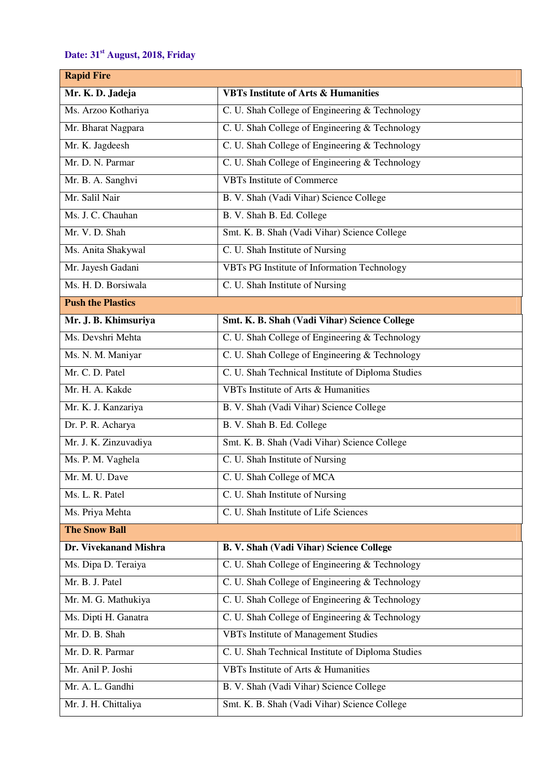## **Date: 31st August, 2018, Friday**

| <b>Rapid Fire</b>        |                                                   |  |
|--------------------------|---------------------------------------------------|--|
| Mr. K. D. Jadeja         | <b>VBTs Institute of Arts &amp; Humanities</b>    |  |
| Ms. Arzoo Kothariya      | C. U. Shah College of Engineering & Technology    |  |
| Mr. Bharat Nagpara       | C. U. Shah College of Engineering & Technology    |  |
| Mr. K. Jagdeesh          | C. U. Shah College of Engineering & Technology    |  |
| Mr. D. N. Parmar         | C. U. Shah College of Engineering & Technology    |  |
| Mr. B. A. Sanghvi        | <b>VBTs Institute of Commerce</b>                 |  |
| Mr. Salil Nair           | B. V. Shah (Vadi Vihar) Science College           |  |
| Ms. J. C. Chauhan        | B. V. Shah B. Ed. College                         |  |
| Mr. V. D. Shah           | Smt. K. B. Shah (Vadi Vihar) Science College      |  |
| Ms. Anita Shakywal       | C. U. Shah Institute of Nursing                   |  |
| Mr. Jayesh Gadani        | VBTs PG Institute of Information Technology       |  |
| Ms. H. D. Borsiwala      | C. U. Shah Institute of Nursing                   |  |
| <b>Push the Plastics</b> |                                                   |  |
| Mr. J. B. Khimsuriya     | Smt. K. B. Shah (Vadi Vihar) Science College      |  |
| Ms. Devshri Mehta        | C. U. Shah College of Engineering & Technology    |  |
| Ms. N. M. Maniyar        | C. U. Shah College of Engineering & Technology    |  |
| Mr. C. D. Patel          | C. U. Shah Technical Institute of Diploma Studies |  |
| Mr. H. A. Kakde          | VBTs Institute of Arts & Humanities               |  |
| Mr. K. J. Kanzariya      | B. V. Shah (Vadi Vihar) Science College           |  |
| Dr. P. R. Acharya        | B. V. Shah B. Ed. College                         |  |
| Mr. J. K. Zinzuvadiya    | Smt. K. B. Shah (Vadi Vihar) Science College      |  |
| Ms. P. M. Vaghela        | C. U. Shah Institute of Nursing                   |  |
| Mr. M. U. Dave           | C. U. Shah College of MCA                         |  |
| Ms. L. R. Patel          | C. U. Shah Institute of Nursing                   |  |
| Ms. Priya Mehta          | C. U. Shah Institute of Life Sciences             |  |
| <b>The Snow Ball</b>     |                                                   |  |
| Dr. Vivekanand Mishra    | B. V. Shah (Vadi Vihar) Science College           |  |
| Ms. Dipa D. Teraiya      | C. U. Shah College of Engineering & Technology    |  |
| Mr. B. J. Patel          | C. U. Shah College of Engineering & Technology    |  |
| Mr. M. G. Mathukiya      | C. U. Shah College of Engineering & Technology    |  |
| Ms. Dipti H. Ganatra     | C. U. Shah College of Engineering & Technology    |  |
| Mr. D. B. Shah           | <b>VBTs Institute of Management Studies</b>       |  |
| Mr. D. R. Parmar         | C. U. Shah Technical Institute of Diploma Studies |  |
| Mr. Anil P. Joshi        | VBTs Institute of Arts & Humanities               |  |
| Mr. A. L. Gandhi         | B. V. Shah (Vadi Vihar) Science College           |  |
| Mr. J. H. Chittaliya     | Smt. K. B. Shah (Vadi Vihar) Science College      |  |